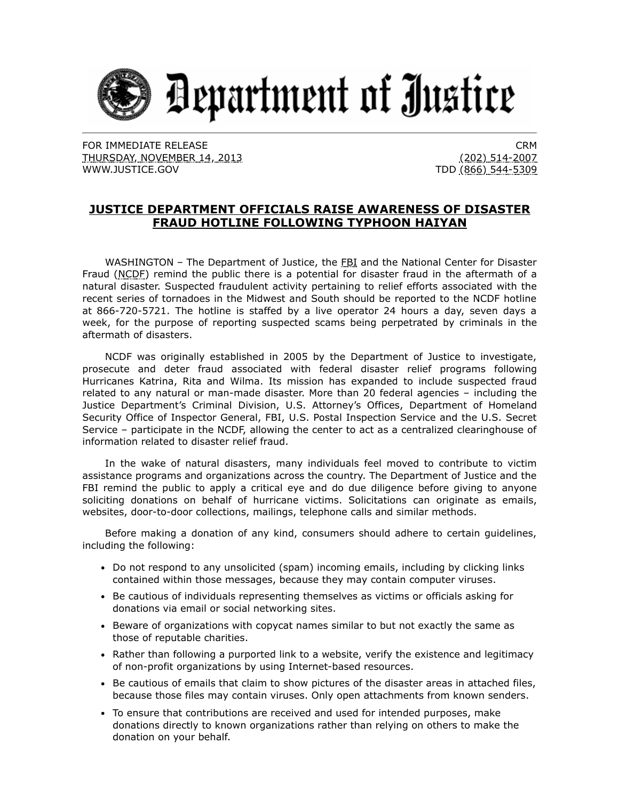

FOR IMMEDIATE RELEASE THURSDAY, NOVEMBER 14, 2013 [WWW.JUSTICE.GOV](https://www.ic3.gov/egress.aspx?u=http%3a%2f%2fwww.justice.gov%2f&h=A1C6AF24D84F605111B8D880B7D1B78D8DCA9182871E10451DB9BC3A7569369C)

CRM (202) 514-2007 TDD (866) 544-5309

## **JUSTICE DEPARTMENT OFFICIALS RAISE AWARENESS OF DISASTER FRAUD HOTLINE FOLLOWING TYPHOON HAIYAN**

WASHINGTON - The Department of Justice, the FBI and the National Center for Disaster Fraud (NCDF) remind the public there is a potential for disaster fraud in the aftermath of a natural disaster. Suspected fraudulent activity pertaining to relief efforts associated with the recent series of tornadoes in the Midwest and South should be reported to the NCDF hotline at 866-720-5721. The hotline is staffed by a live operator 24 hours a day, seven days a week, for the purpose of reporting suspected scams being perpetrated by criminals in the aftermath of disasters.

NCDF was originally established in 2005 by the Department of Justice to investigate, prosecute and deter fraud associated with federal disaster relief programs following Hurricanes Katrina, Rita and Wilma. Its mission has expanded to include suspected fraud related to any natural or man-made disaster. More than 20 federal agencies – including the Justice Department's Criminal Division, U.S. Attorney's Offices, Department of Homeland Security Office of Inspector General, FBI, U.S. Postal Inspection Service and the U.S. Secret Service – participate in the NCDF, allowing the center to act as a centralized clearinghouse of information related to disaster relief fraud.

In the wake of natural disasters, many individuals feel moved to contribute to victim assistance programs and organizations across the country. The Department of Justice and the FBI remind the public to apply a critical eye and do due diligence before giving to anyone soliciting donations on behalf of hurricane victims. Solicitations can originate as emails, websites, door-to-door collections, mailings, telephone calls and similar methods.

Before making a donation of any kind, consumers should adhere to certain guidelines, including the following:

- Do not respond to any unsolicited (spam) incoming emails, including by clicking links contained within those messages, because they may contain computer viruses.
- **Be cautious of individuals representing themselves as victims or officials asking for** donations via email or social networking sites.
- Beware of organizations with copycat names similar to but not exactly the same as those of reputable charities.
- Rather than following a purported link to a website, verify the existence and legitimacy of non-profit organizations by using Internet-based resources.
- Be cautious of emails that claim to show pictures of the disaster areas in attached files, because those files may contain viruses. Only open attachments from known senders.
- To ensure that contributions are received and used for intended purposes, make donations directly to known organizations rather than relying on others to make the donation on your behalf.